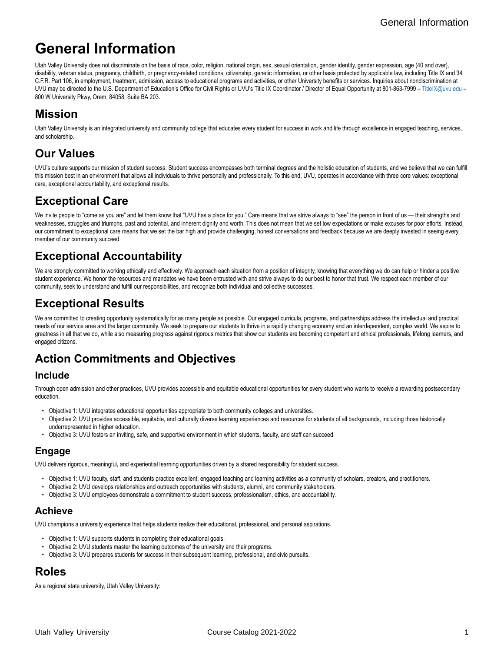# **General Information**

Utah Valley University does not discriminate on the basis of race, color, religion, national origin, sex, sexual orientation, gender identity, gender expression, age (40 and over), disability, veteran status, pregnancy, childbirth, or pregnancy-related conditions, citizenship, genetic information, or other basis protected by applicable law, including Title IX and 34 C.F.R. Part 106, in employment, treatment, admission, access to educational programs and activities, or other University benefits or services. Inquiries about nondiscrimination at UVU may be directed to the U.S. Department of Education's Office for Civil Rights or UVU's Title IX Coordinator / Director of Equal Opportunity at 801-863-7999 – [TitleIX@uvu.edu](https://www.uvu.edu/catalog/current/policies-requirements/mailto:TitleIX@uvu.edu) – 800 W University Pkwy, Orem, 84058, Suite BA 203.

### **Mission**

Utah Valley University is an integrated university and community college that educates every student for success in work and life through excellence in engaged teaching, services, and scholarship.

## **Our Values**

UVU's culture supports our mission of student success. Student success encompasses both terminal degrees and the holistic education of students, and we believe that we can fulfill this mission best in an environment that allows all individuals to thrive personally and professionally. To this end, UVU, operates in accordance with three core values: exceptional care, exceptional accountability, and exceptional results.

### **Exceptional Care**

We invite people to "come as you are" and let them know that "UVU has a place for you." Care means that we strive always to "see" the person in front of us — their strengths and weaknesses, struggles and triumphs, past and potential, and inherent dignity and worth. This does not mean that we set low expectations or make excuses for poor efforts. Instead, our commitment to exceptional care means that we set the bar high and provide challenging, honest conversations and feedback because we are deeply invested in seeing every member of our community succeed.

### **Exceptional Accountability**

We are strongly committed to working ethically and effectively. We approach each situation from a position of integrity, knowing that everything we do can help or hinder a positive student experience. We honor the resources and mandates we have been entrusted with and strive always to do our best to honor that trust. We respect each member of our community, seek to understand and fulfill our responsibilities, and recognize both individual and collective successes.

### **Exceptional Results**

We are committed to creating opportunity systematically for as many people as possible. Our engaged curricula, programs, and partnerships address the intellectual and practical needs of our service area and the larger community. We seek to prepare our students to thrive in a rapidly changing economy and an interdependent, complex world. We aspire to greatness in all that we do, while also measuring progress against rigorous metrics that show our students are becoming competent and ethical professionals, lifelong learners, and engaged citizens.

### **Action Commitments and Objectives**

#### **Include**

Through open admission and other practices, UVU provides accessible and equitable educational opportunities for every student who wants to receive a rewarding postsecondary education.

- Objective 1: UVU integrates educational opportunities appropriate to both community colleges and universities.
- Objective 2: UVU provides accessible, equitable, and culturally diverse learning experiences and resources for students of all backgrounds, including those historically underrepresented in higher education.
- Objective 3: UVU fosters an inviting, safe, and supportive environment in which students, faculty, and staff can succeed.

### **Engage**

UVU delivers rigorous, meaningful, and experiential learning opportunities driven by a shared responsibility for student success.

- Objective 1: UVU faculty, staff, and students practice excellent, engaged teaching and learning activities as a community of scholars, creators, and practitioners.
- Objective 2: UVU develops relationships and outreach opportunities with students, alumni, and community stakeholders.
- Objective 3: UVU employees demonstrate a commitment to student success, professionalism, ethics, and accountability.

#### **Achieve**

UVU champions a university experience that helps students realize their educational, professional, and personal aspirations.

- Objective 1: UVU supports students in completing their educational goals.
- Objective 2: UVU students master the learning outcomes of the university and their programs.
- Objective 3: UVU prepares students for success in their subsequent learning, professional, and civic pursuits.

# **Roles**

As a regional state university, Utah Valley University: